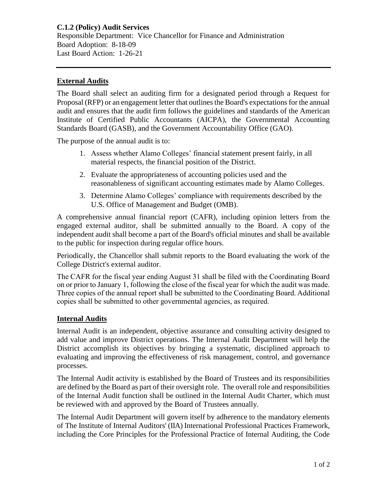## **External Audits**

The Board shall select an auditing firm for a designated period through a Request for Proposal (RFP) or an engagement letter that outlines the Board's expectations for the annual audit and ensures that the audit firm follows the guidelines and standards of the American Institute of Certified Public Accountants (AICPA), the Governmental Accounting Standards Board (GASB), and the Government Accountability Office (GAO).

The purpose of the annual audit is to:

- 1. Assess whether Alamo Colleges' financial statement present fairly, in all material respects, the financial position of the District.
- 2. Evaluate the appropriateness of accounting policies used and the reasonableness of significant accounting estimates made by Alamo Colleges.
- 3. Determine Alamo Colleges' compliance with requirements described by the U.S. Office of Management and Budget (OMB).

A comprehensive annual financial report (CAFR), including opinion letters from the engaged external auditor, shall be submitted annually to the Board. A copy of the independent audit shall become a part of the Board's official minutes and shall be available to the public for inspection during regular office hours.

Periodically, the Chancellor shall submit reports to the Board evaluating the work of the College District's external auditor.

The CAFR for the fiscal year ending August 31 shall be filed with the Coordinating Board on or prior to January 1, following the close of the fiscal year for which the audit was made. Three copies of the annual report shall be submitted to the Coordinating Board. Additional copies shall be submitted to other governmental agencies, as required.

## **Internal Audits**

Internal Audit is an independent, objective assurance and consulting activity designed to add value and improve District operations. The Internal Audit Department will help the District accomplish its objectives by bringing a systematic, disciplined approach to evaluating and improving the effectiveness of risk management, control, and governance processes.

The Internal Audit activity is established by the Board of Trustees and its responsibilities are defined by the Board as part of their oversight role. The overall role and responsibilities of the Internal Audit function shall be outlined in the Internal Audit Charter, which must be reviewed with and approved by the Board of Trustees annually.

The Internal Audit Department will govern itself by adherence to the mandatory elements of The Institute of Internal Auditors' (IIA) International Professional Practices Framework, including the Core Principles for the Professional Practice of Internal Auditing, the Code